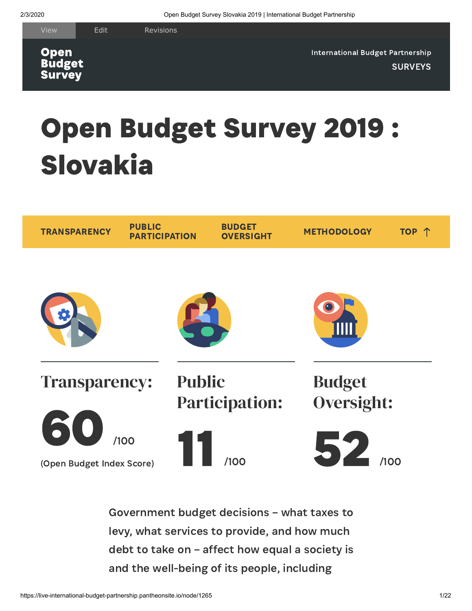**Open Budget Survey** 

[International](https://live-international-budget-partnership.pantheonsite.io/) Budget Partnership **[SURVEYS](https://live-international-budget-partnership.pantheonsite.io/temp-survey-list)** 

# <span id="page-0-0"></span>Open Budget Survey 2019 : Slovakia



Government budget decisions – what taxes to levy, what services to provide, and how much debt to take on – affect how equal a society is and the well-being of its people, including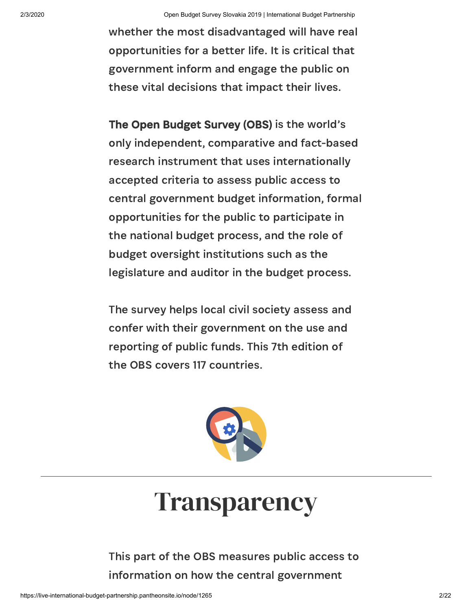whether the most disadvantaged will have real opportunities for a better life. It is critical that government inform and engage the public on these vital decisions that impact their lives.

The Open Budget Survey (OBS) is the world's only independent, comparative and fact-based research instrument that uses internationally accepted criteria to assess public access to central government budget information, formal opportunities for the public to participate in the national budget process, and the role of budget oversight institutions such as the legislature and auditor in the budget process.

<span id="page-1-0"></span>The survey helps local civil society assess and confer with their government on the use and reporting of public funds. This 7th edition of the OBS covers 117 countries.



## **Transparency**

This part of the OBS measures public access to information on how the central government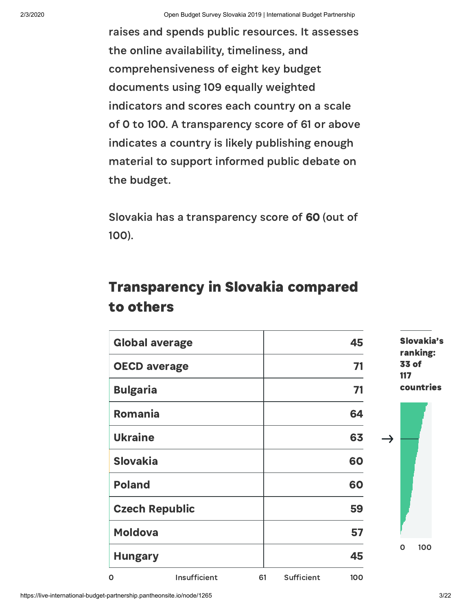raises and spends public resources. It assesses the online availability, timeliness, and comprehensiveness of eight key budget documents using 109 equally weighted indicators and scores each country on a scale of 0 to 100. A transparency score of 61 or above indicates a country is likely publishing enough material to support informed public debate on the budget.

Slovakia has a transparency score of 60 (out of 100).

#### Transparency in Slovakia compared to others

| <b>Global average</b> |                       |    |            | 45  |               | Slovakia's<br>ranking: |
|-----------------------|-----------------------|----|------------|-----|---------------|------------------------|
| <b>OECD average</b>   |                       |    |            | 71  |               | 33 of<br>117           |
| <b>Bulgaria</b>       |                       |    |            | 71  |               | countries              |
| <b>Romania</b>        |                       |    |            | 64  |               |                        |
| <b>Ukraine</b>        |                       |    |            | 63  | $\rightarrow$ |                        |
| <b>Slovakia</b>       |                       |    |            | 60  |               |                        |
| <b>Poland</b>         |                       |    |            | 60  |               |                        |
|                       | <b>Czech Republic</b> |    |            | 59  |               |                        |
| <b>Moldova</b>        |                       |    |            | 57  |               |                        |
| <b>Hungary</b>        |                       |    |            | 45  |               | 100<br>O               |
| $\mathbf 0$           | Insufficient          | 61 | Sufficient | 100 |               |                        |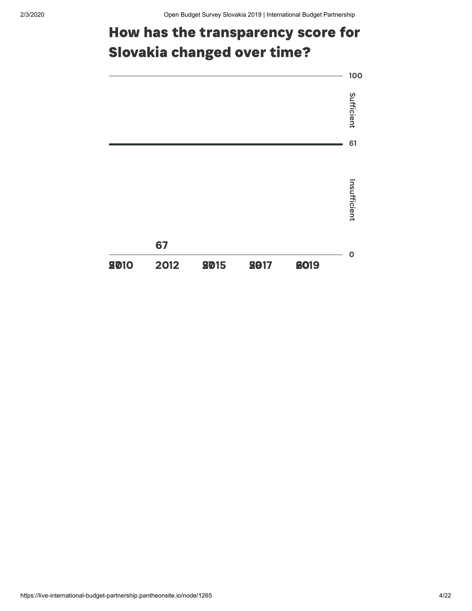### How has the transparency score for Slovakia changed over time?

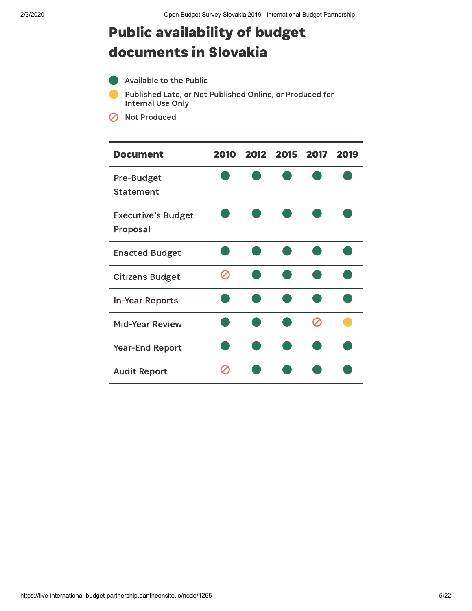#### Public availability of budget documents in Slovakia

- Available to the Public
- Published Late, or Not Published Online, or Produced for Internal Use Only
- **8** Not Produced

| <b>Document</b>                       | 2010 | 2012 2015 2017 |  | 2019 |
|---------------------------------------|------|----------------|--|------|
| Pre-Budget<br><b>Statement</b>        |      |                |  |      |
| <b>Executive's Budget</b><br>Proposal |      |                |  |      |
| <b>Enacted Budget</b>                 |      |                |  |      |
| <b>Citizens Budget</b>                |      |                |  |      |
| <b>In-Year Reports</b>                |      |                |  |      |
| <b>Mid-Year Review</b>                |      |                |  |      |
| <b>Year-End Report</b>                |      |                |  |      |
| <b>Audit Report</b>                   |      |                |  |      |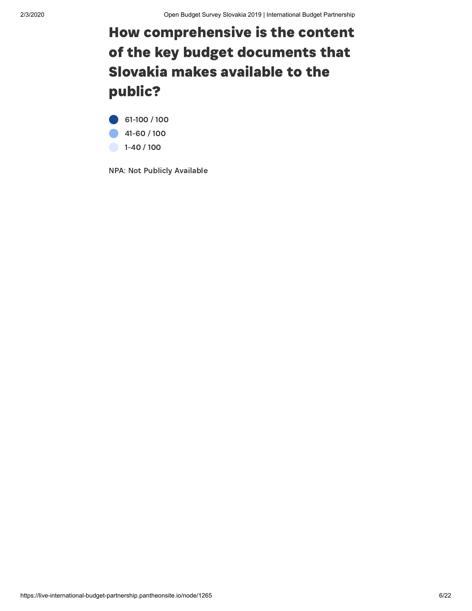### How comprehensive is the content of the key budget documents that Slovakia makes available to the public?

61-100 / 100 41-60 / 100 1-40 / 100

NPA: Not Publicly Available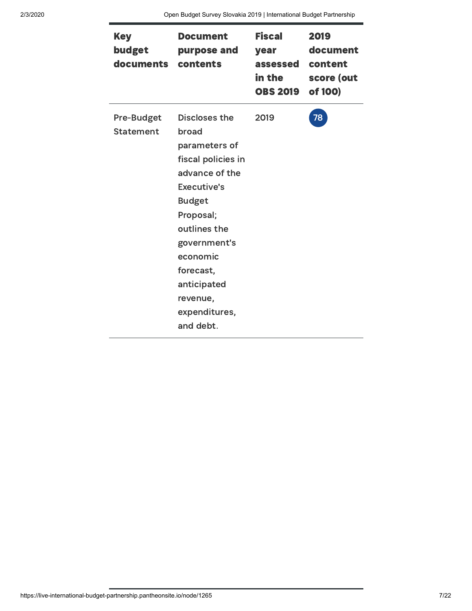| <b>Key</b><br>budget<br>documents     | Document<br>purpose and<br>contents                                                                                                                                                                                                                   | <b>Fiscal</b><br>year<br>assessed<br>in the<br><b>OBS 2019</b> | 2019<br>document<br>content<br>score (out<br>of 100) |
|---------------------------------------|-------------------------------------------------------------------------------------------------------------------------------------------------------------------------------------------------------------------------------------------------------|----------------------------------------------------------------|------------------------------------------------------|
| <b>Pre-Budget</b><br><b>Statement</b> | Discloses the<br>broad<br>parameters of<br>fiscal policies in<br>advance of the<br><b>Executive's</b><br><b>Budget</b><br>Proposal;<br>outlines the<br>government's<br>economic<br>forecast,<br>anticipated<br>revenue,<br>expenditures,<br>and debt. | 2019                                                           | 78                                                   |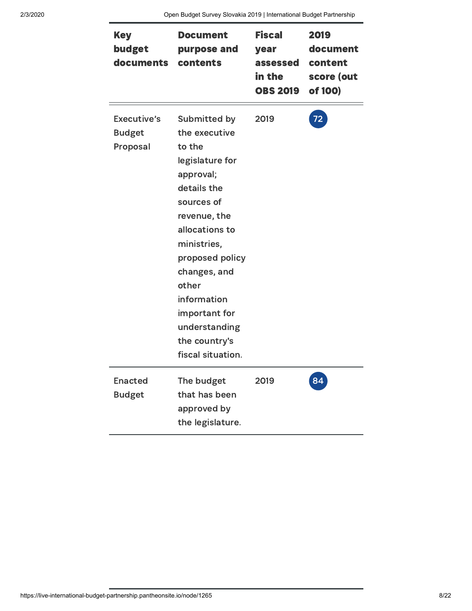| <b>Key</b><br>budget<br>documents        | <b>Document</b><br>purpose and<br>contents                                                                                                                                                                                                                                               | <b>Fiscal</b><br>year<br>assessed<br>in the<br><b>OBS 2019</b> | 2019<br>document<br>content<br>score (out<br>of 100) |
|------------------------------------------|------------------------------------------------------------------------------------------------------------------------------------------------------------------------------------------------------------------------------------------------------------------------------------------|----------------------------------------------------------------|------------------------------------------------------|
| Executive's<br><b>Budget</b><br>Proposal | Submitted by<br>the executive<br>to the<br>legislature for<br>approval;<br>details the<br>sources of<br>revenue, the<br>allocations to<br>ministries,<br>proposed policy<br>changes, and<br>other<br>information<br>important for<br>understanding<br>the country's<br>fiscal situation. | 2019                                                           | 72                                                   |
| <b>Enacted</b><br><b>Budget</b>          | The budget<br>that has been<br>approved by<br>the legislature.                                                                                                                                                                                                                           | 2019                                                           |                                                      |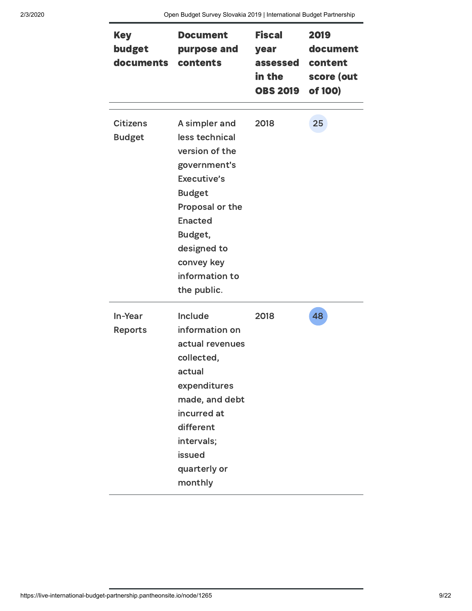| <b>Key</b><br>budget<br>documents | Document<br>purpose and<br>contents                                                                                                                                                                             | <b>Fiscal</b><br>year<br>assessed<br>in the<br><b>OBS 2019</b> | 2019<br>document<br>content<br>score (out<br>of 100) |
|-----------------------------------|-----------------------------------------------------------------------------------------------------------------------------------------------------------------------------------------------------------------|----------------------------------------------------------------|------------------------------------------------------|
| <b>Citizens</b><br><b>Budget</b>  | A simpler and<br>less technical<br>version of the<br>government's<br>Executive's<br><b>Budget</b><br>Proposal or the<br><b>Enacted</b><br>Budget,<br>designed to<br>convey key<br>information to<br>the public. | 2018                                                           | 25                                                   |
| In-Year<br><b>Reports</b>         | Include<br>information on<br>actual revenues<br>collected,<br>actual<br>expenditures<br>made, and debt<br>incurred at<br>different<br>intervals;<br>issued<br>quarterly or<br>monthly                           | 2018                                                           | 48                                                   |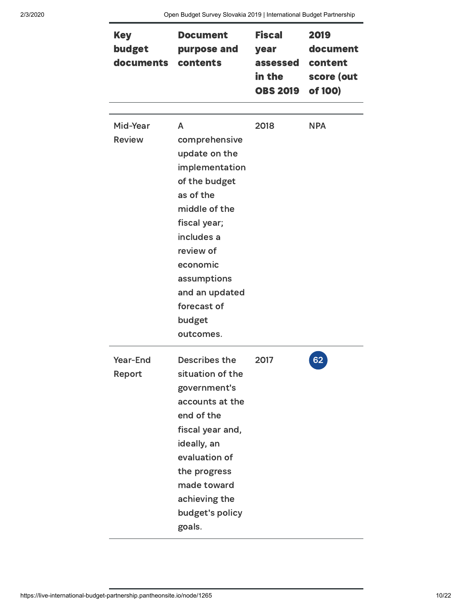| <b>Key</b><br>budget<br>documents | <b>Document</b><br>purpose and<br>contents                                                                                                                                                                                         | <b>Fiscal</b><br>year<br>assessed<br>in the<br><b>OBS 2019</b> | 2019<br>document<br>content<br>score (out<br>of 100) |
|-----------------------------------|------------------------------------------------------------------------------------------------------------------------------------------------------------------------------------------------------------------------------------|----------------------------------------------------------------|------------------------------------------------------|
| Mid-Year<br><b>Review</b>         | A<br>comprehensive<br>update on the<br>implementation<br>of the budget<br>as of the<br>middle of the<br>fiscal year;<br>includes a<br>review of<br>economic<br>assumptions<br>and an updated<br>forecast of<br>budget<br>outcomes. | 2018                                                           | <b>NPA</b>                                           |
| Year-End<br>Report                | <b>Describes the</b><br>situation of the<br>government's<br>accounts at the<br>end of the<br>fiscal year and,<br>ideally, an<br>evaluation of<br>the progress<br>made toward<br>achieving the<br>budget's policy<br>goals.         | 2017                                                           | 62                                                   |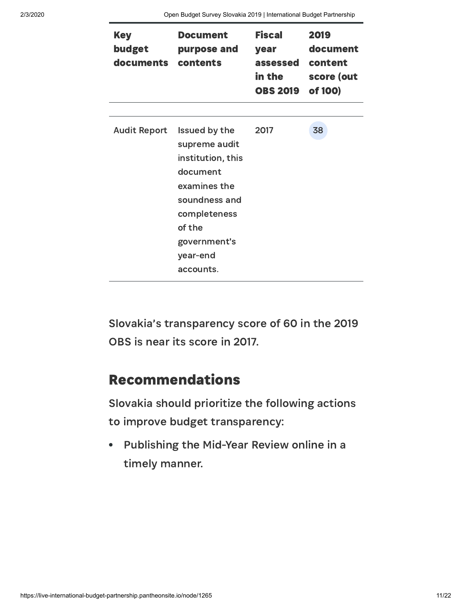| <b>Key</b><br>budget<br>documents | <b>Document</b><br>purpose and<br>contents                                                                                                                          | <b>Fiscal</b><br>year<br>assessed<br>in the<br><b>OBS 2019</b> | 2019<br>document<br>content<br>score (out<br>of 100) |
|-----------------------------------|---------------------------------------------------------------------------------------------------------------------------------------------------------------------|----------------------------------------------------------------|------------------------------------------------------|
|                                   |                                                                                                                                                                     |                                                                |                                                      |
| <b>Audit Report</b>               | Issued by the<br>supreme audit<br>institution, this<br>document<br>examines the<br>soundness and<br>completeness<br>of the<br>government's<br>year-end<br>accounts. | 2017                                                           | 38                                                   |

Slovakia's transparency score of 60 in the 2019 OBS is near its score in 2017.

#### Recommendations

Slovakia should prioritize the following actions to improve budget transparency:

Publishing the Mid-Year Review online in a  $\bullet$ timely manner.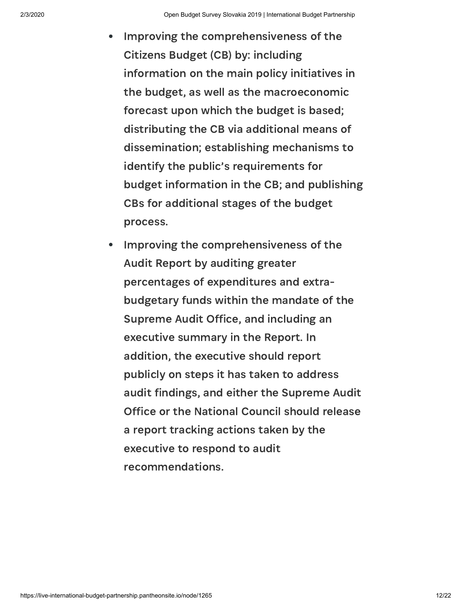- Improving the comprehensiveness of the  $\bullet$ Citizens Budget (CB) by: including information on the main policy initiatives in the budget, as well as the macroeconomic forecast upon which the budget is based; distributing the CB via additional means of dissemination; establishing mechanisms to identify the public's requirements for budget information in the CB; and publishing CBs for additional stages of the budget process.
- Improving the comprehensiveness of the Audit Report by auditing greater percentages of expenditures and extrabudgetary funds within the mandate of the Supreme Audit Office, and including an executive summary in the Report. In addition, the executive should report publicly on steps it has taken to address audit findings, and either the Supreme Audit Office or the National Council should release a report tracking actions taken by the executive to respond to audit recommendations.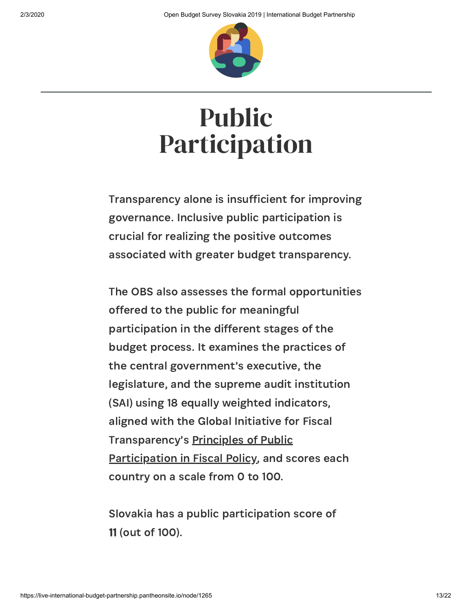

## <span id="page-12-0"></span>Public Participation

Transparency alone is insufficient for improving governance. Inclusive public participation is crucial for realizing the positive outcomes associated with greater budget transparency.

The OBS also assesses the formal opportunities offered to the public for meaningful participation in the different stages of the budget process. It examines the practices of the central government's executive, the legislature, and the supreme audit institution (SAI) using 18 equally weighted indicators, aligned with the Global Initiative for Fiscal [Transparency's](http://www.fiscaltransparency.net/pp_principles/) Principles of Public Participation in Fiscal Policy, and scores each country on a scale from 0 to 100.

Slovakia has a public participation score of 11 (out of 100).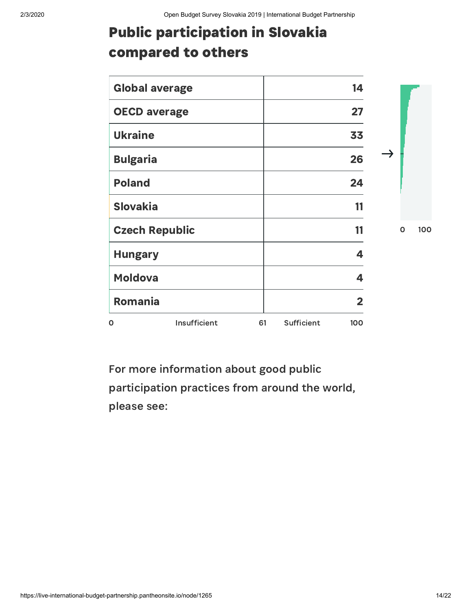## Public participation in Slovakia compared to others

| <b>Global average</b> |                       |    |            | 14                      |             |     |
|-----------------------|-----------------------|----|------------|-------------------------|-------------|-----|
| <b>OECD average</b>   |                       |    |            | 27                      |             |     |
| <b>Ukraine</b>        |                       |    |            | 33                      |             |     |
| <b>Bulgaria</b>       |                       |    |            | 26                      |             |     |
| <b>Poland</b>         |                       |    |            | 24                      |             |     |
| <b>Slovakia</b>       |                       |    |            | 11                      |             |     |
|                       | <b>Czech Republic</b> |    |            | 11                      | $\mathbf O$ | 100 |
| <b>Hungary</b>        |                       |    |            | 4                       |             |     |
| <b>Moldova</b>        |                       |    |            | 4                       |             |     |
| <b>Romania</b>        |                       |    |            | $\overline{\mathbf{2}}$ |             |     |
| $\mathbf{o}$          | Insufficient          | 61 | Sufficient | 100                     |             |     |

For more information about good public participation practices from around the world, please see: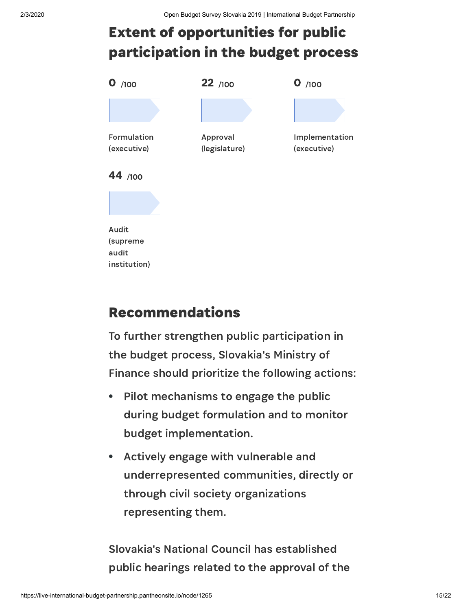## Extent of opportunities for public participation in the budget process



#### Recommendations

To further strengthen public participation in the budget process, Slovakia's Ministry of Finance should prioritize the following actions:

- Pilot mechanisms to engage the public  $\bullet$ during budget formulation and to monitor budget implementation.
- Actively engage with vulnerable and underrepresented communities, directly or through civil society organizations representing them.

Slovakia's National Council has established public hearings related to the approval of the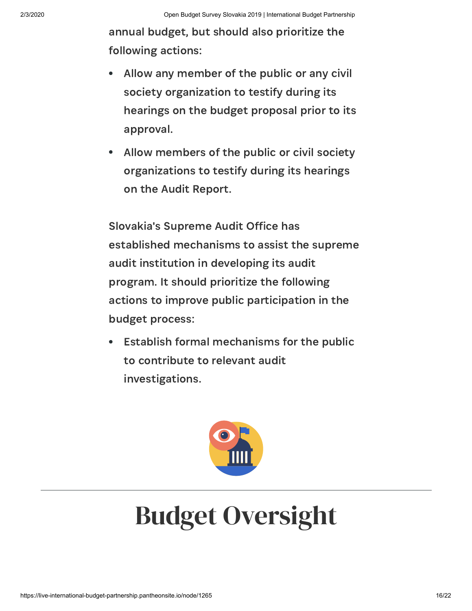annual budget, but should also prioritize the following actions:

- Allow any member of the public or any civil  $\bullet$ society organization to testify during its hearings on the budget proposal prior to its approval.
- Allow members of the public or civil society organizations to testify during its hearings on the Audit Report.

Slovakia's Supreme Audit Office has established mechanisms to assist the supreme audit institution in developing its audit program. It should prioritize the following actions to improve public participation in the budget process:

<span id="page-15-0"></span>Establish formal mechanisms for the public to contribute to relevant audit investigations.



# Budget Oversight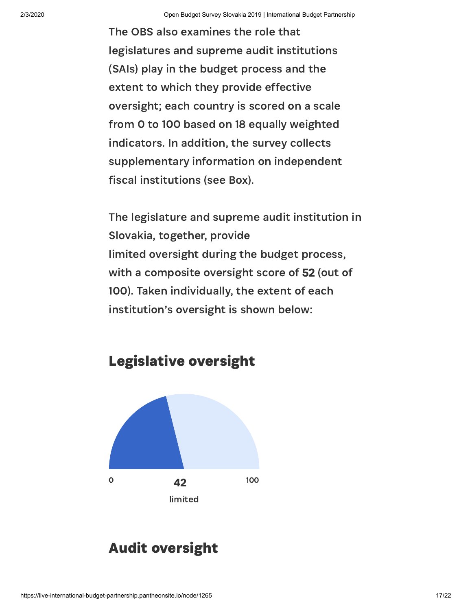The OBS also examines the role that legislatures and supreme audit institutions (SAIs) play in the budget process and the extent to which they provide effective oversight; each country is scored on a scale from 0 to 100 based on 18 equally weighted indicators. In addition, the survey collects supplementary information on independent fiscal institutions (see Box).

The legislature and supreme audit institution in Slovakia, together, provide limited oversight during the budget process, with a composite oversight score of 52 (out of 100). Taken individually, the extent of each institution's oversight is shown below:



#### Audit oversight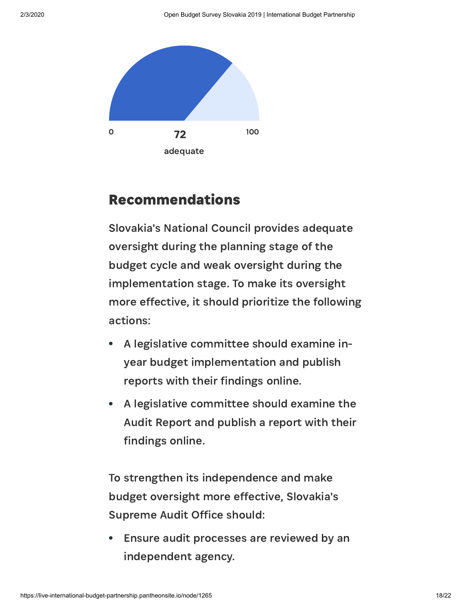

#### Recommendations

Slovakia's National Council provides adequate oversight during the planning stage of the budget cycle and weak oversight during the implementation stage. To make its oversight more effective, it should prioritize the following actions:

- A legislative committee should examine inyear budget implementation and publish reports with their findings online.
- A legislative committee should examine the Audit Report and publish a report with their findings online.

To strengthen its independence and make budget oversight more effective, Slovakia's Supreme Audit Office should:

Ensure audit processes are reviewed by an independent agency.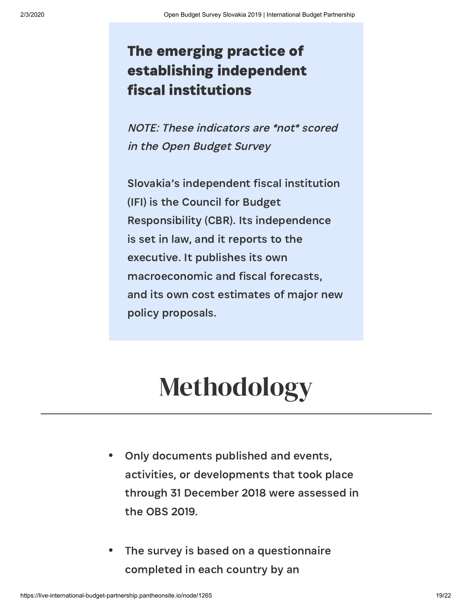### The emerging practice of establishing independent fiscal institutions

NOTE: These indicators are \*not\* scored in the Open Budget Survey

Slovakia's independent fiscal institution (IFI) is the Council for Budget Responsibility (CBR). Its independence is set in law, and it reports to the executive. It publishes its own macroeconomic and fiscal forecasts, and its own cost estimates of major new policy proposals.

## Methodology

- Only documents published and events,  $\bullet$ activities, or developments that took place through 31 December 2018 were assessed in the OBS 2019.
- The survey is based on a questionnaire  $\bullet$ completed in each country by an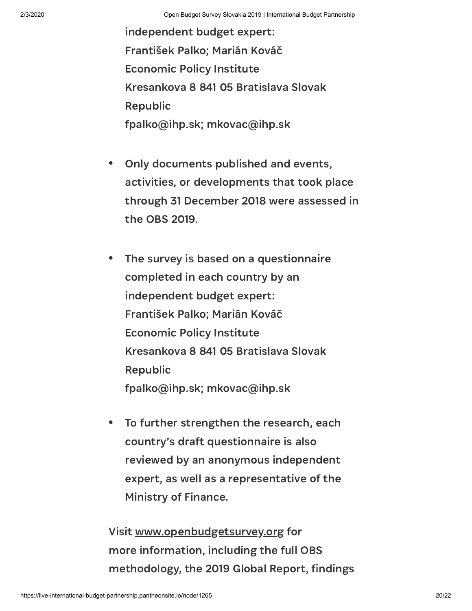independent budget expert: František Palko; Marián Kováč Economic Policy Institute Kresankova 8 841 05 Bratislava Slovak Republic fpalko@ihp.sk; mkovac@ihp.sk

- Only documents published and events,  $\bullet$ activities, or developments that took place through 31 December 2018 were assessed in the OBS 2019.
- $\bullet$ The survey is based on a questionnaire completed in each country by an independent budget expert: František Palko; Marián Kováč Economic Policy Institute Kresankova 8 841 05 Bratislava Slovak Republic fpalko@ihp.sk; mkovac@ihp.sk
- To further strengthen the research, each  $\bullet$ country's draft questionnaire is also reviewed by an anonymous independent expert, as well as a representative of the Ministry of Finance.

Visit [www.openbudgetsurvey.org](https://openbudgetsurvey.org/) for more information, including the full OBS methodology, the 2019 Global Report, findings